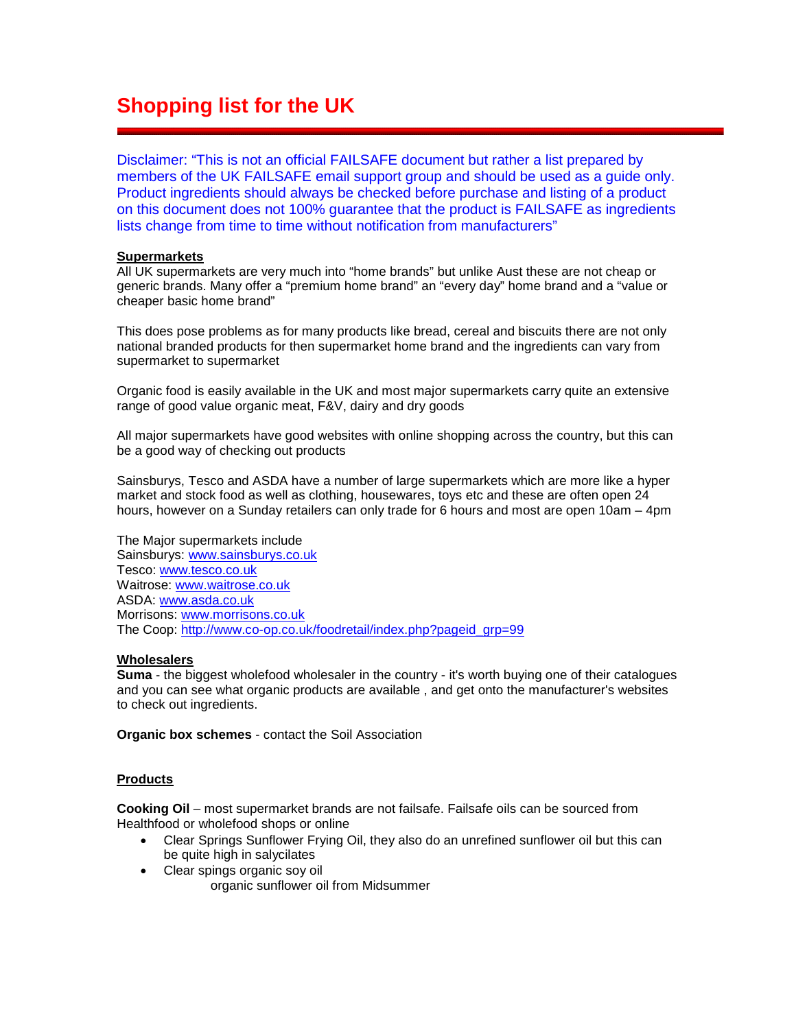# **Shopping list for the UK**

Disclaimer: "This is not an official FAILSAFE document but rather a list prepared by members of the UK FAILSAFE email support group and should be used as a guide only. Product ingredients should always be checked before purchase and listing of a product on this document does not 100% guarantee that the product is FAILSAFE as ingredients lists change from time to time without notification from manufacturers"

## **Supermarkets**

All UK supermarkets are very much into "home brands" but unlike Aust these are not cheap or generic brands. Many offer a "premium home brand" an "every day" home brand and a "value or cheaper basic home brand"

This does pose problems as for many products like bread, cereal and biscuits there are not only national branded products for then supermarket home brand and the ingredients can vary from supermarket to supermarket

Organic food is easily available in the UK and most major supermarkets carry quite an extensive range of good value organic meat, F&V, dairy and dry goods

All major supermarkets have good websites with online shopping across the country, but this can be a good way of checking out products

Sainsburys, Tesco and ASDA have a number of large supermarkets which are more like a hyper market and stock food as well as clothing, housewares, toys etc and these are often open 24 hours, however on a Sunday retailers can only trade for 6 hours and most are open 10am – 4pm

The Major supermarkets include Sainsburys: [www.sainsburys.co.uk](http://www.sainsburys.co.uk/) Tesco: [www.tesco.co.uk](http://www.tesco.co.uk/) Waitrose: [www.waitrose.co.uk](http://www.waitrose.co.uk/) ASDA: [www.asda.co.uk](http://www.asda.co.uk/) Morrisons: [www.morrisons.co.uk](http://www.morrisons.co.uk/) The Coop: [http://www.co-op.co.uk/foodretail/index.php?pageid\\_grp=99](http://www.co-op.co.uk/foodretail/index.php?pageid_grp=99)

## **Wholesalers**

**Suma** - the biggest wholefood wholesaler in the country - it's worth buying one of their catalogues and you can see what organic products are available , and get onto the manufacturer's websites to check out ingredients.

**Organic box schemes** - contact the Soil Association

# **Products**

**Cooking Oil** – most supermarket brands are not failsafe. Failsafe oils can be sourced from Healthfood or wholefood shops or online

- Clear Springs Sunflower Frying Oil, they also do an unrefined sunflower oil but this can be quite high in salycilates
- Clear spings organic soy oil organic sunflower oil from Midsummer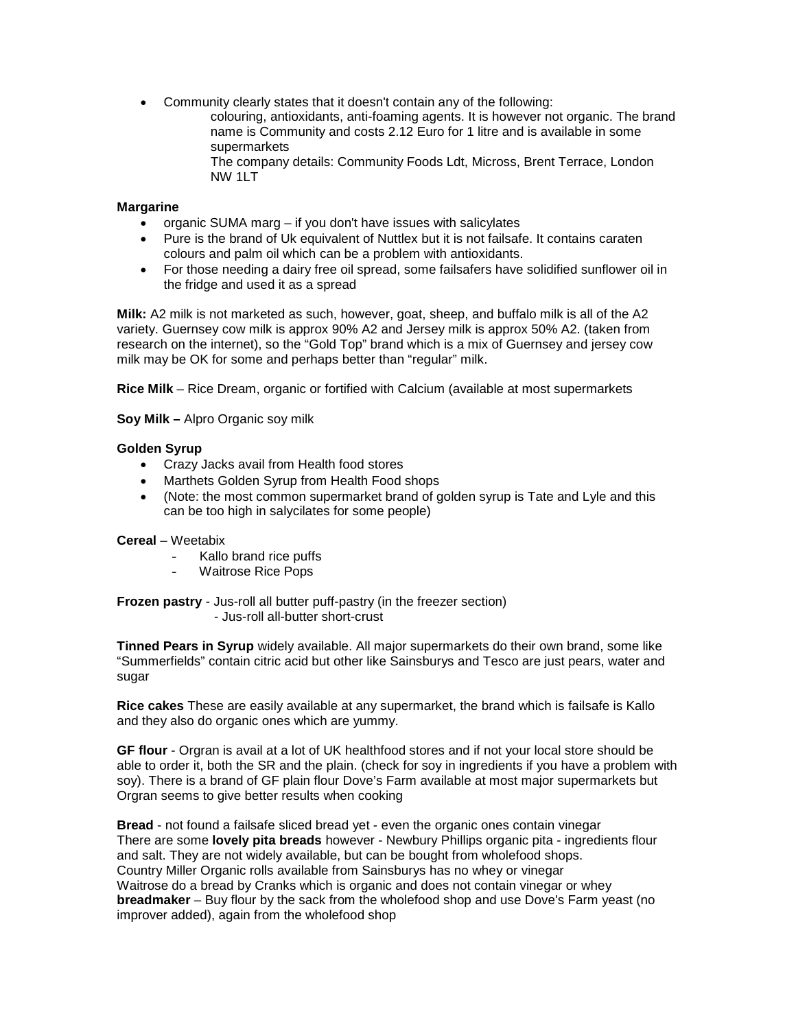• Community clearly states that it doesn't contain any of the following: colouring, antioxidants, anti-foaming agents. It is however not organic. The brand name is Community and costs 2.12 Euro for 1 litre and is available in some supermarkets

The company details: Community Foods Ldt, Micross, Brent Terrace, London NW 1LT

# **Margarine**

- organic SUMA marg if you don't have issues with salicylates
- Pure is the brand of Uk equivalent of Nuttlex but it is not failsafe. It contains caraten colours and palm oil which can be a problem with antioxidants.
- For those needing a dairy free oil spread, some failsafers have solidified sunflower oil in the fridge and used it as a spread

**Milk:** A2 milk is not marketed as such, however, goat, sheep, and buffalo milk is all of the A2 variety. Guernsey cow milk is approx 90% A2 and Jersey milk is approx 50% A2. (taken from research on the internet), so the "Gold Top" brand which is a mix of Guernsey and jersey cow milk may be OK for some and perhaps better than "regular" milk.

**Rice Milk** – Rice Dream, organic or fortified with Calcium (available at most supermarkets

**Soy Milk –** Alpro Organic soy milk

## **Golden Syrup**

- Crazy Jacks avail from Health food stores
- Marthets Golden Syrup from Health Food shops
- (Note: the most common supermarket brand of golden syrup is Tate and Lyle and this can be too high in salycilates for some people)

## **Cereal** – Weetabix

- Kallo brand rice puffs
- Waitrose Rice Pops

**Frozen pastry** - Jus-roll all butter puff-pastry (in the freezer section) - Jus-roll all-butter short-crust

**Tinned Pears in Syrup** widely available. All major supermarkets do their own brand, some like "Summerfields" contain citric acid but other like Sainsburys and Tesco are just pears, water and sugar

**Rice cakes** These are easily available at any supermarket, the brand which is failsafe is Kallo and they also do organic ones which are yummy.

**GF flour** - Orgran is avail at a lot of UK healthfood stores and if not your local store should be able to order it, both the SR and the plain. (check for soy in ingredients if you have a problem with soy). There is a brand of GF plain flour Dove's Farm available at most major supermarkets but Orgran seems to give better results when cooking

**Bread** - not found a failsafe sliced bread yet - even the organic ones contain vinegar There are some **lovely pita breads** however - Newbury Phillips organic pita - ingredients flour and salt. They are not widely available, but can be bought from wholefood shops. Country Miller Organic rolls available from Sainsburys has no whey or vinegar Waitrose do a bread by Cranks which is organic and does not contain vinegar or whey **breadmaker** – Buy flour by the sack from the wholefood shop and use Dove's Farm yeast (no improver added), again from the wholefood shop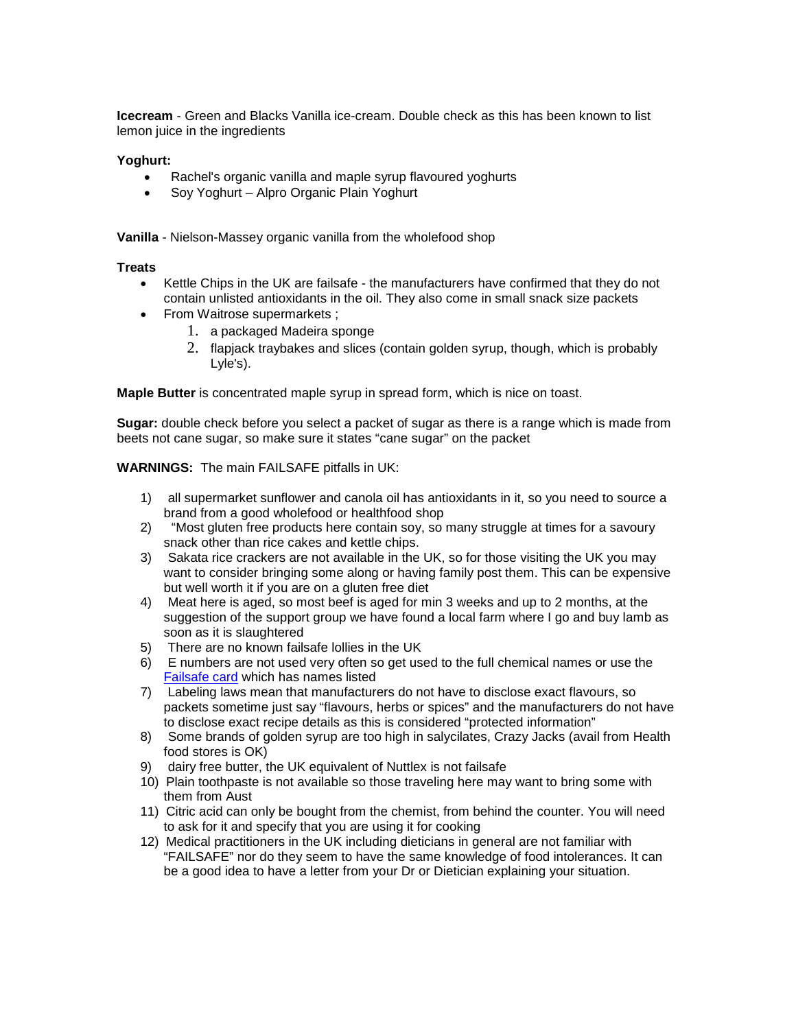**Icecream** - Green and Blacks Vanilla ice-cream. Double check as this has been known to list lemon juice in the ingredients

## **Yoghurt:**

- Rachel's organic vanilla and maple syrup flavoured yoghurts
- Soy Yoghurt Alpro Organic Plain Yoghurt

**Vanilla** - Nielson-Massey organic vanilla from the wholefood shop

#### **Treats**

- Kettle Chips in the UK are failsafe the manufacturers have confirmed that they do not contain unlisted antioxidants in the oil. They also come in small snack size packets
- From Waitrose supermarkets ;
	- 1. a packaged Madeira sponge
	- 2. flapjack traybakes and slices (contain golden syrup, though, which is probably Lyle's).

**Maple Butter** is concentrated maple syrup in spread form, which is nice on toast.

**Sugar:** double check before you select a packet of sugar as there is a range which is made from beets not cane sugar, so make sure it states "cane sugar" on the packet

## **WARNINGS:** The main FAILSAFE pitfalls in UK:

- 1) all supermarket sunflower and canola oil has antioxidants in it, so you need to source a brand from a good wholefood or healthfood shop
- 2) "Most gluten free products here contain soy, so many struggle at times for a savoury snack other than rice cakes and kettle chips.
- 3) Sakata rice crackers are not available in the UK, so for those visiting the UK you may want to consider bringing some along or having family post them. This can be expensive but well worth it if you are on a gluten free diet
- 4) Meat here is aged, so most beef is aged for min 3 weeks and up to 2 months, at the suggestion of the support group we have found a local farm where I go and buy lamb as soon as it is slaughtered
- 5) There are no known failsafe lollies in the UK
- 6) E numbers are not used very often so get used to the full chemical names or use the [Failsafe card](http://www.fedupwithfoodadditives.info/books/setCARDinfo.htm) which has names listed
- 7) Labeling laws mean that manufacturers do not have to disclose exact flavours, so packets sometime just say "flavours, herbs or spices" and the manufacturers do not have to disclose exact recipe details as this is considered "protected information"
- 8) Some brands of golden syrup are too high in salycilates, Crazy Jacks (avail from Health food stores is OK)
- 9) dairy free butter, the UK equivalent of Nuttlex is not failsafe
- 10) Plain toothpaste is not available so those traveling here may want to bring some with them from Aust
- 11) Citric acid can only be bought from the chemist, from behind the counter. You will need to ask for it and specify that you are using it for cooking
- 12) Medical practitioners in the UK including dieticians in general are not familiar with "FAILSAFE" nor do they seem to have the same knowledge of food intolerances. It can be a good idea to have a letter from your Dr or Dietician explaining your situation.